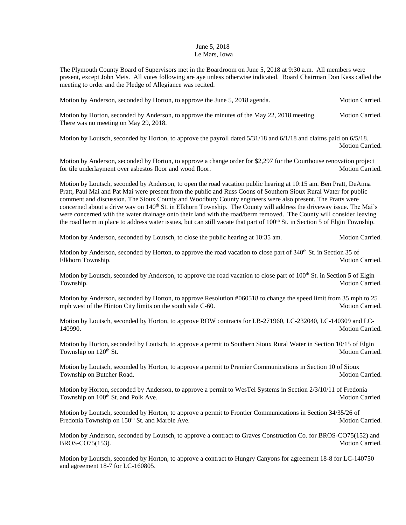## June 5, 2018 Le Mars, Iowa

The Plymouth County Board of Supervisors met in the Boardroom on June 5, 2018 at 9:30 a.m. All members were present, except John Meis. All votes following are aye unless otherwise indicated. Board Chairman Don Kass called the meeting to order and the Pledge of Allegiance was recited.

Motion by Anderson, seconded by Horton, to approve the June 5, 2018 agenda. Motion Carried.

Motion by Horton, seconded by Anderson, to approve the minutes of the May 22, 2018 meeting. Motion Carried. There was no meeting on May 29, 2018.

Motion by Loutsch, seconded by Horton, to approve the payroll dated  $5/31/18$  and  $6/1/18$  and claims paid on  $6/5/18$ . Motion Carried.

Motion by Anderson, seconded by Horton, to approve a change order for \$2,297 for the Courthouse renovation project for tile underlayment over asbestos floor and wood floor. Motion Carried.

Motion by Loutsch, seconded by Anderson, to open the road vacation public hearing at 10:15 am. Ben Pratt, DeAnna Pratt, Paul Mai and Pat Mai were present from the public and Russ Coons of Southern Sioux Rural Water for public comment and discussion. The Sioux County and Woodbury County engineers were also present. The Pratts were concerned about a drive way on  $140<sup>th</sup>$  St. in Elkhorn Township. The County will address the driveway issue. The Mai's were concerned with the water drainage onto their land with the road/berm removed. The County will consider leaving the road berm in place to address water issues, but can still vacate that part of  $100<sup>th</sup>$  St. in Section 5 of Elgin Township.

Motion by Anderson, seconded by Loutsch, to close the public hearing at 10:35 am. Motion Carried.

Motion by Anderson, seconded by Horton, to approve the road vacation to close part of  $340^{th}$  St. in Section 35 of Elkhorn Township. Motion Carried. The state of the state of the Motion Carried. Motion Carried.

Motion by Loutsch, seconded by Anderson, to approve the road vacation to close part of  $100^{th}$  St. in Section 5 of Elgin Township. Motion Carried.

Motion by Anderson, seconded by Horton, to approve Resolution #060518 to change the speed limit from 35 mph to 25 mph west of the Hinton City limits on the south side C-60. Motion Carried.

Motion by Loutsch, seconded by Horton, to approve ROW contracts for LB-271960, LC-232040, LC-140309 and LC-140990. Motion Carried.

Motion by Horton, seconded by Loutsch, to approve a permit to Southern Sioux Rural Water in Section 10/15 of Elgin Township on 120<sup>th</sup> St. Motion Carried.

Motion by Loutsch, seconded by Horton, to approve a permit to Premier Communications in Section 10 of Sioux Township on Butcher Road. Motion Carried. Motion Carried.

Motion by Horton, seconded by Anderson, to approve a permit to WesTel Systems in Section 2/3/10/11 of Fredonia Township on 100<sup>th</sup> St. and Polk Ave. Motion Carried. Motion Carried.

Motion by Loutsch, seconded by Horton, to approve a permit to Frontier Communications in Section 34/35/26 of Fredonia Township on 150<sup>th</sup> St. and Marble Ave. Motion Carried. Motion Carried.

Motion by Anderson, seconded by Loutsch, to approve a contract to Graves Construction Co. for BROS-CO75(152) and BROS-CO75(153). Motion Carried.

Motion by Loutsch, seconded by Horton, to approve a contract to Hungry Canyons for agreement 18-8 for LC-140750 and agreement 18-7 for LC-160805.